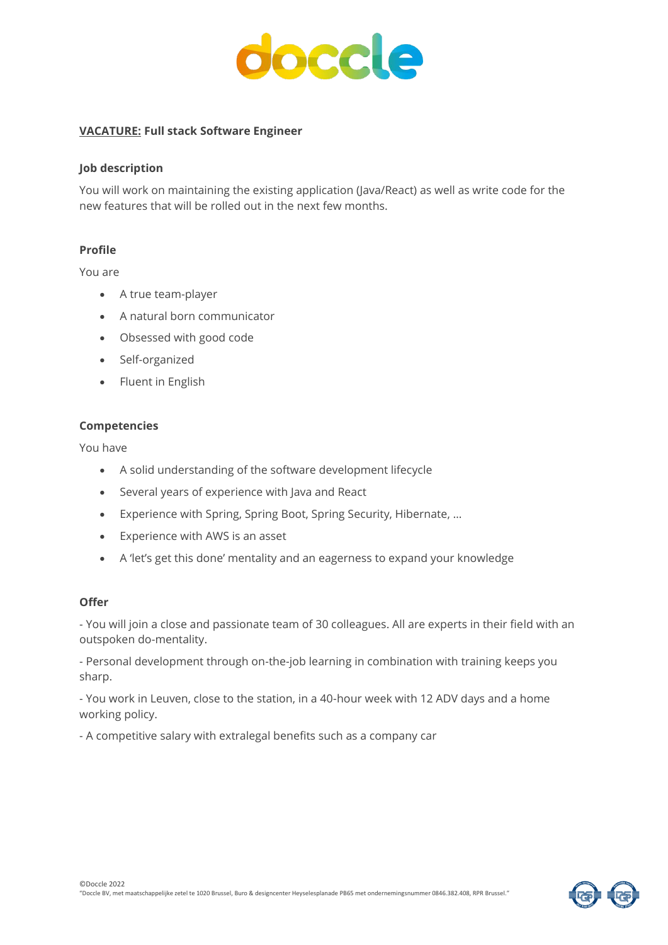

# **VACATURE: Full stack Software Engineer**

### **Job description**

You will work on maintaining the existing application (Java/React) as well as write code for the new features that will be rolled out in the next few months.

## **Profile**

You are

- A true team-player
- A natural born communicator
- Obsessed with good code
- Self-organized
- Fluent in English

## **Competencies**

You have

- A solid understanding of the software development lifecycle
- Several years of experience with Java and React
- Experience with Spring, Spring Boot, Spring Security, Hibernate, …
- Experience with AWS is an asset
- A 'let's get this done' mentality and an eagerness to expand your knowledge

## **Offer**

- You will join a close and passionate team of 30 colleagues. All are experts in their field with an outspoken do-mentality.

- Personal development through on-the-job learning in combination with training keeps you sharp.

- You work in Leuven, close to the station, in a 40-hour week with 12 ADV days and a home working policy.

- A competitive salary with extralegal benefits such as a company car